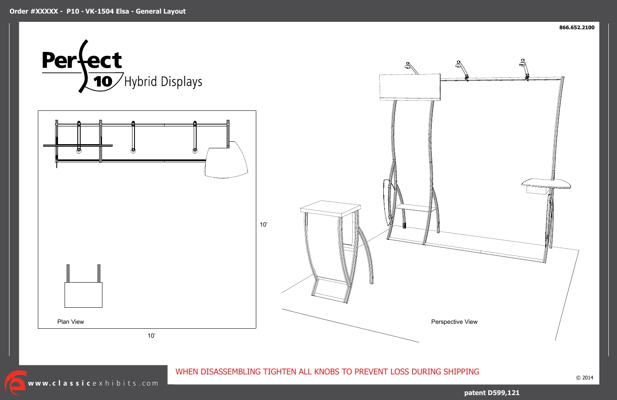$\sqrt{\phantom{a}}$ 





**patent D599,121**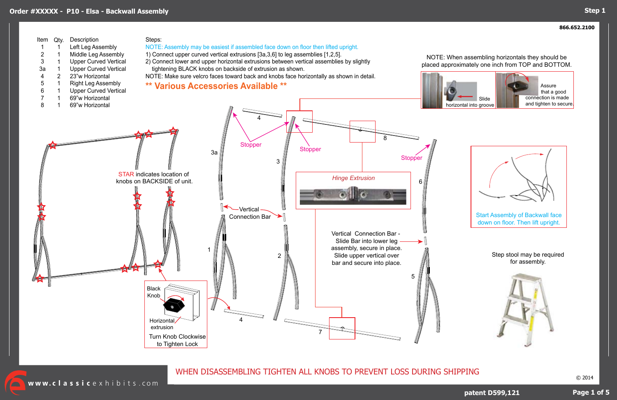© 2014

WHEN DISASSEMBLING TIGHTEN ALL KNOBS TO PREVENT LOSS DURING SHIPPING

www.classicexhibits.com

**Page 1 of 5**

**patent D599,121**





Step stool may be required for assembly.



NOTE: When assembling horizontals they should be placed approximately one inch from TOP and BOTTOM.





 Assure that a good connection is made and tighten to secure.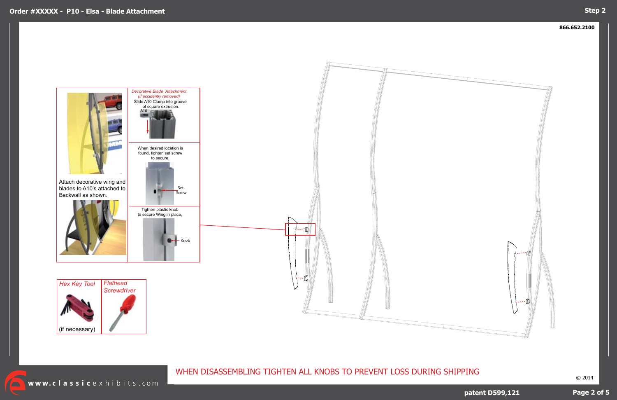

© 2014

# WHEN DISASSEMBLING TIGHTEN ALL KNOBS TO PREVENT LOSS DURING SHIPPING

www.classicexhibits.com

# **Page 2 of 5**

## **Step 2**

## **patent D599,121**

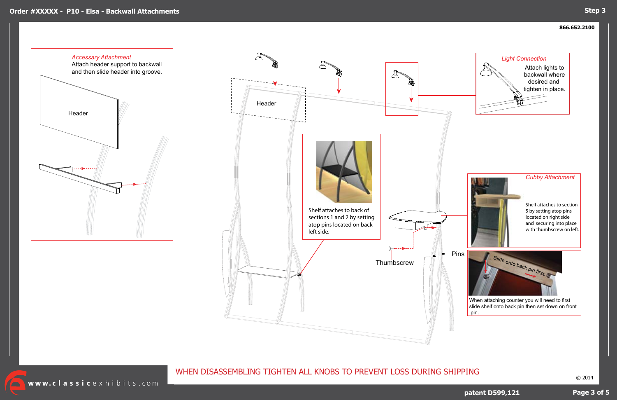### **866.652.2100**



© 2014

WHEN DISASSEMBLING TIGHTEN ALL KNOBS TO PREVENT LOSS DURING SHIPPING

www.classicexhibits.com

## **Page 3 of 5**

## **patent D599,121**



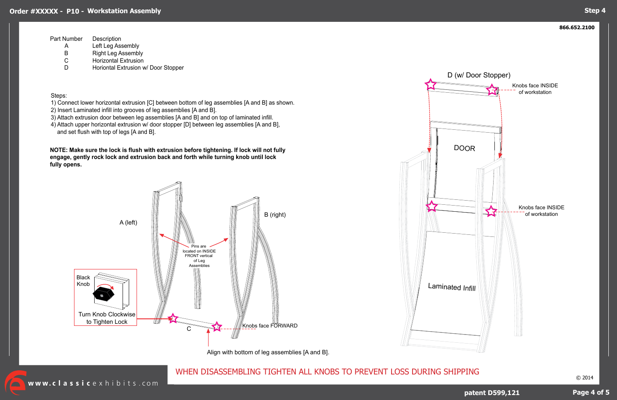### **866.652.2100**

# WHEN DISASSEMBLING TIGHTEN ALL KNOBS TO PREVENT LOSS DURING SHIPPING

**Page 4 of 5**

## **Step 4**

Steps:

- 1) Connect lower horizontal extrusion [C] between bottom of leg assemblies [A and B] as shown.
- 2) Insert Laminated infill into grooves of leg assemblies [A and B].
- 3) Attach extrusion door between leg assemblies [A and B] and on top of laminated infill.
- 4) Attach upper horizontal extrusion w/ door stopper [D] between leg assemblies [A and B], and set flush with top of legs [A and B].

| Description                         |
|-------------------------------------|
| Left Leg Assembly                   |
| <b>Right Leg Assembly</b>           |
| <b>Horizontal Extrusion</b>         |
| Horiontal Extrusion w/ Door Stopper |
|                                     |







**NOTE: Make sure the lock is flush with extrusion before tightening. If lock will not fully engage, gently rock lock and extrusion back and forth while turning knob until lock fully opens.**

Align with bottom of leg assemblies [A and B].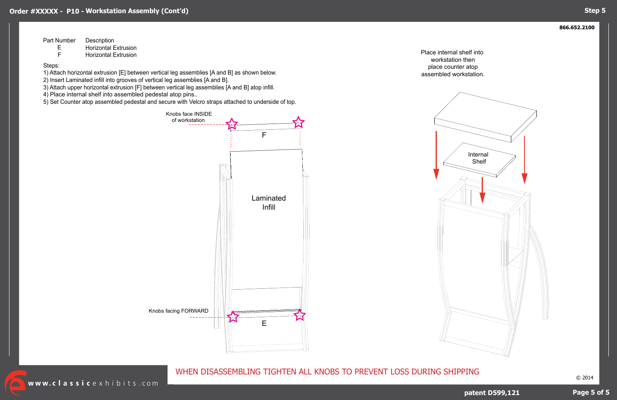### **866.652.2100**

© 2014

WHEN DISASSEMBLING TIGHTEN ALL KNOBS TO PREVENT LOSS DURING SHIPPING

## **Page 5 of 5**

## **Step 5**

**patent D599,121**

Steps:

1) Attach horizontal extrusion [E] between vertical leg assemblies [A and B] as shown below.

2) Insert Laminated infill into grooves of vertical leg assemblies [A and B].

| Part Number | Description |  |
|-------------|-------------|--|
|             |             |  |

3) Attach upper horizontal extrusion [F] between vertical leg assemblies [A and B] atop infill.

E Horizontal Extrusion

F Horizontal Extrusion

4) Place internal shelf into assembled pedestal atop pins..

5) Set Counter atop assembled pedestal and secure with Velcro straps attached to underside of top.

Place internal shelf into workstation then place counter atop assembled workstation.



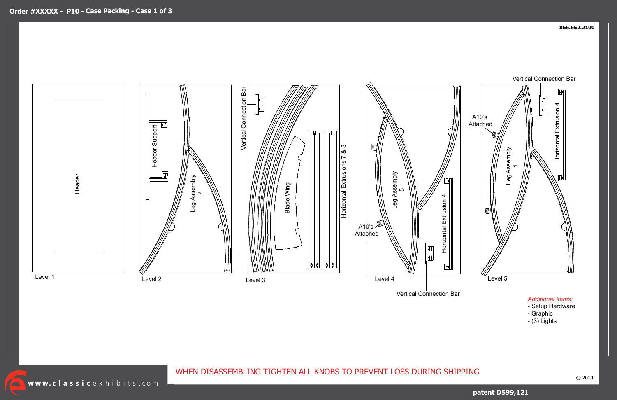$\sqrt{\phantom{a}}$ 

## **patent D599,121**



Vertical Connection Bar

## *Additional Items:*

- Setup Hardware
- Graphic
- (3) Lights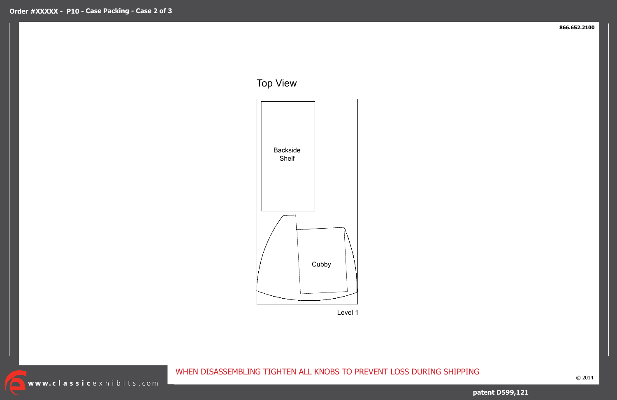$\sqrt{\phantom{a}}$ 

### **866.652.2100**

© 2014

WHEN DISASSEMBLING TIGHTEN ALL KNOBS TO PREVENT LOSS DURING SHIPPING

**patent D599,121**

Top View